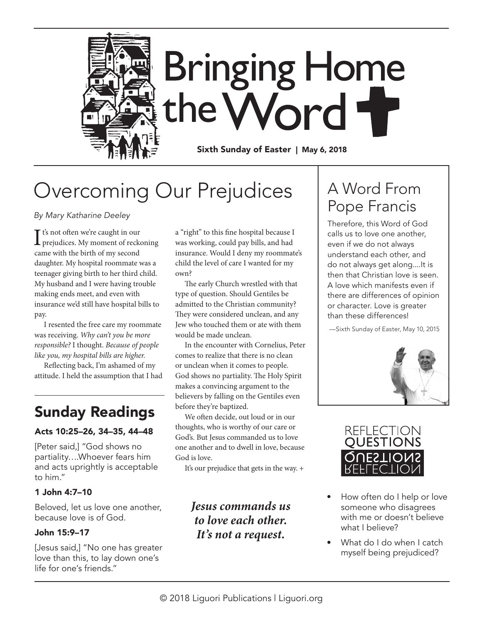

# Overcoming Our Prejudices

*By Mary Katharine Deeley*

It's not often we're caught in our<br>prejudices. My moment of reckoning t's not often we're caught in our came with the birth of my second daughter. My hospital roommate was a teenager giving birth to her third child. My husband and I were having trouble making ends meet, and even with insurance we'd still have hospital bills to pay.

I resented the free care my roommate was receiving. *Why can't you be more responsible?* I thought. *Because of people like you, my hospital bills are higher.*

Reflecting back, I'm ashamed of my attitude. I held the assumption that I had

### Sunday Readings

#### Acts 10:25–26, 34–35, 44–48

[Peter said,] "God shows no partiality….Whoever fears him and acts uprightly is acceptable to him."

#### 1 John 4:7–10

Beloved, let us love one another, because love is of God.

#### John 15:9–17

[Jesus said,] "No one has greater love than this, to lay down one's life for one's friends."

a "right" to this fine hospital because I was working, could pay bills, and had insurance. Would I deny my roommate's child the level of care I wanted for my own?

The early Church wrestled with that type of question. Should Gentiles be admitted to the Christian community? They were considered unclean, and any Jew who touched them or ate with them would be made unclean.

In the encounter with Cornelius, Peter comes to realize that there is no clean or unclean when it comes to people. God shows no partiality. The Holy Spirit makes a convincing argument to the believers by falling on the Gentiles even before they're baptized.

We often decide, out loud or in our thoughts, who is worthy of our care or God's. But Jesus commanded us to love one another and to dwell in love, because God is love.

It's our prejudice that gets in the way. +

#### *Jesus commands us to love each other. It's not a request.*

## A Word From Pope Francis

Therefore, this Word of God calls us to love one another, even if we do not always understand each other, and do not always get along....It is then that Christian love is seen. A love which manifests even if there are differences of opinion or character. Love is greater than these differences!

—Sixth Sunday of Easter, May 10, 2015





- How often do I help or love someone who disagrees with me or doesn't believe what I believe?
- What do I do when I catch myself being prejudiced?